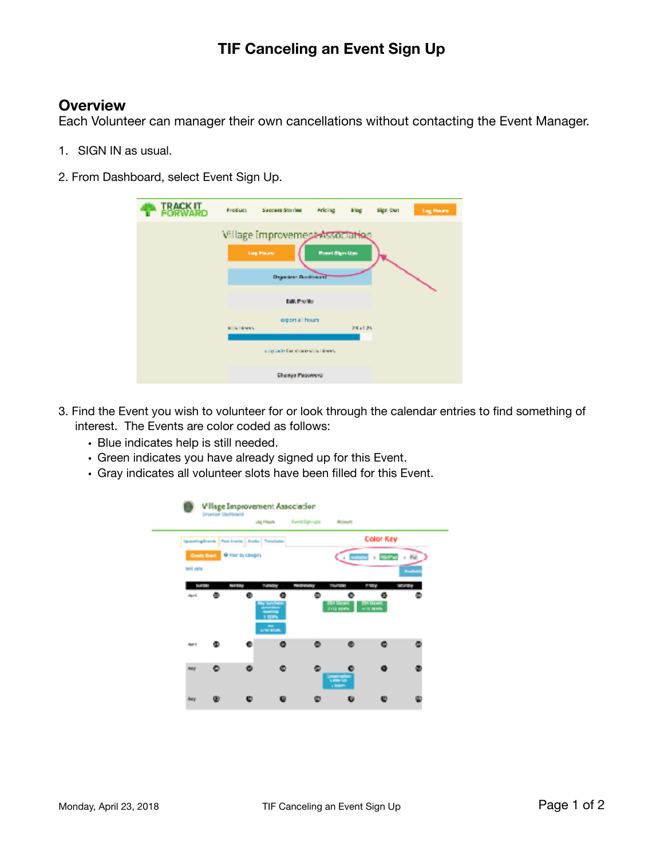## **TIF Canceling an Event Sign Up**

## **Overview**

Each Volunteer can manager their own cancellations without contacting the Event Manager.

- 1. SIGN IN as usual.
- 2. From Dashboard, select Event Sign Up.

| <b>IRAGKIT</b> | <b>Product</b>                            | Success Stories                                     | Pricing                | alog.    | Sign Out | <b>Log Hours</b> |
|----------------|-------------------------------------------|-----------------------------------------------------|------------------------|----------|----------|------------------|
|                |                                           | Village Improvement Association<br><b>Lag Hauss</b> | <b>Event Stars Ups</b> |          |          |                  |
|                | <b>Departem Dockhount</b><br>Edit Profile |                                                     |                        |          |          |                  |
|                | <b>Ministration St</b>                    | export all hours                                    |                        | 28.61.25 |          |                  |
|                |                                           | a region by that more with indeeds.                 |                        |          |          |                  |
|                |                                           | Change Peatewest                                    |                        |          |          |                  |

- 3. Find the Event you wish to volunteer for or look through the calendar entries to find something of interest. The Events are color coded as follows:
	- Blue indicates help is still needed.
	- Green indicates you have already signed up for this Event.
	- Gray indicates all volunteer slots have been filled for this Event.